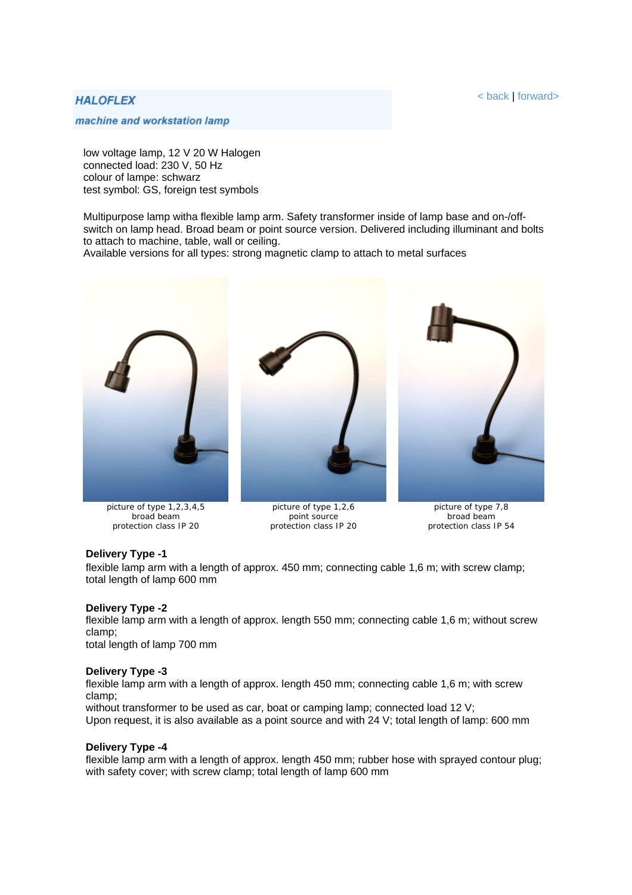< back | forward>

# **HALOFLEX**

#### machine and workstation lamp

low voltage lamp, 12 V 20 W Halogen connected load: 230 V, 50 Hz colour of lampe: schwarz test symbol: GS, foreign test symbols

Multipurpose lamp witha flexible lamp arm. Safety transformer inside of lamp base and on-/offswitch on lamp head. Broad beam or point source version. Delivered including illuminant and bolts to attach to machine, table, wall or ceiling.

Available versions for all types: strong magnetic clamp to attach to metal surfaces



picture of type 1,2,3,4,5 broad beam protection class IP 20





picture of type 1,2,6 point source protection class IP 20

picture of type 7,8 broad beam protection class IP 54

# **Delivery Type -1**

flexible lamp arm with a length of approx. 450 mm; connecting cable 1,6 m; with screw clamp; total length of lamp 600 mm

# **Delivery Type -2**

flexible lamp arm with a length of approx. length 550 mm; connecting cable 1,6 m; without screw clamp;

total length of lamp 700 mm

### **Delivery Type -3**

flexible lamp arm with a length of approx. length 450 mm; connecting cable 1,6 m; with screw clamp;

without transformer to be used as car, boat or camping lamp; connected load 12 V; Upon request, it is also available as a point source and with 24 V; total length of lamp: 600 mm

### **Delivery Type -4**

flexible lamp arm with a length of approx. length 450 mm; rubber hose with sprayed contour plug; with safety cover; with screw clamp; total length of lamp 600 mm